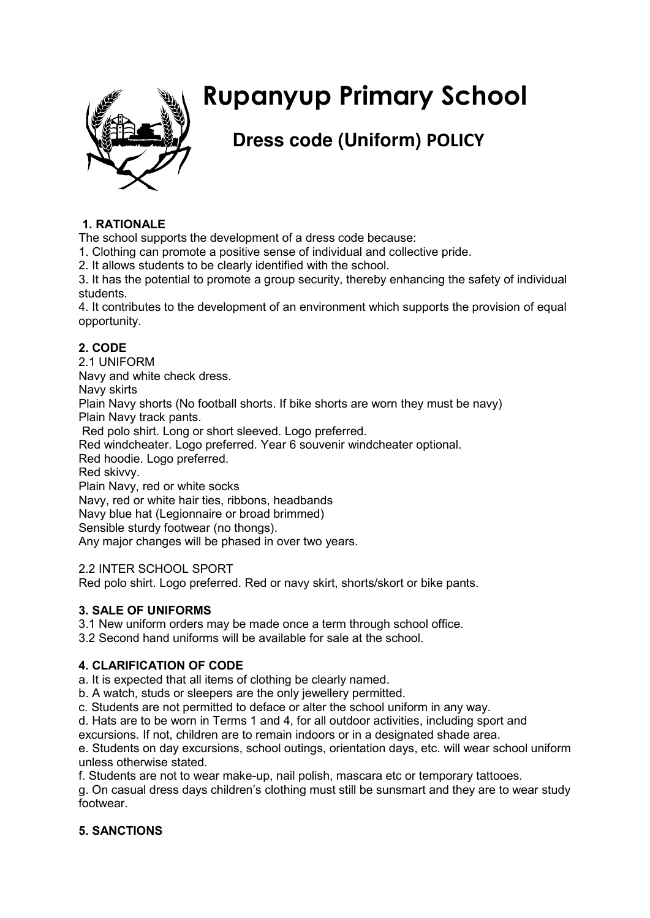

# **Rupanyup Primary School**

# **Dress code (Uniform) POLICY**

# **1. RATIONALE**

The school supports the development of a dress code because:

1. Clothing can promote a positive sense of individual and collective pride.

2. It allows students to be clearly identified with the school.

3. It has the potential to promote a group security, thereby enhancing the safety of individual students.

4. It contributes to the development of an environment which supports the provision of equal opportunity.

# **2. CODE**

2.1 UNIFORM

Navy and white check dress.

Navy skirts

Plain Navy shorts (No football shorts. If bike shorts are worn they must be navy) Plain Navy track pants.

Red polo shirt. Long or short sleeved. Logo preferred.

Red windcheater. Logo preferred. Year 6 souvenir windcheater optional.

Red hoodie. Logo preferred.

Red skivvy.

Plain Navy, red or white socks

Navy, red or white hair ties, ribbons, headbands

Navy blue hat (Legionnaire or broad brimmed)

Sensible sturdy footwear (no thongs).

Any major changes will be phased in over two years.

2.2 INTER SCHOOL SPORT

Red polo shirt. Logo preferred. Red or navy skirt, shorts/skort or bike pants.

# **3. SALE OF UNIFORMS**

3.1 New uniform orders may be made once a term through school office.

3.2 Second hand uniforms will be available for sale at the school.

# **4. CLARIFICATION OF CODE**

a. It is expected that all items of clothing be clearly named.

b. A watch, studs or sleepers are the only jewellery permitted.

c. Students are not permitted to deface or alter the school uniform in any way.

d. Hats are to be worn in Terms 1 and 4, for all outdoor activities, including sport and

excursions. If not, children are to remain indoors or in a designated shade area.

e. Students on day excursions, school outings, orientation days, etc. will wear school uniform unless otherwise stated.

f. Students are not to wear make-up, nail polish, mascara etc or temporary tattooes.

g. On casual dress days children's clothing must still be sunsmart and they are to wear study footwear.

# **5. SANCTIONS**